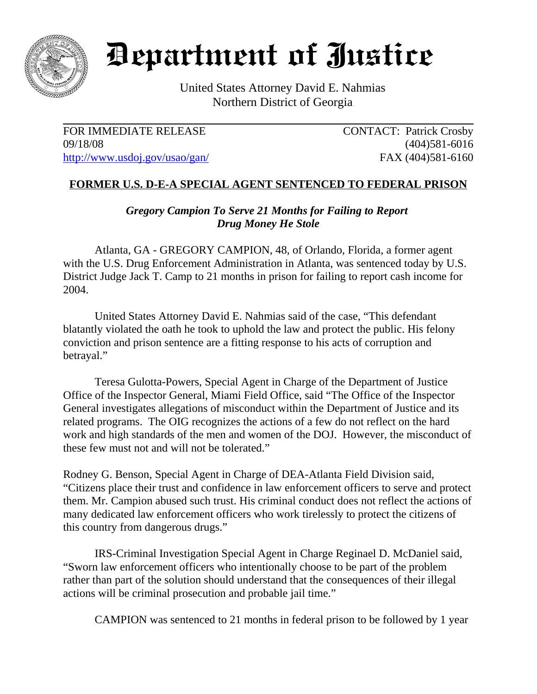

## Department of Justice

United States Attorney David E. Nahmias Northern District of Georgia

FOR IMMEDIATE RELEASE CONTACT: Patrick Crosby 09/18/08 (404)581-6016 http://www.usdoj.gov/usao/gan/ FAX (404)581-6160

## **FORMER U.S. D-E-A SPECIAL AGENT SENTENCED TO FEDERAL PRISON**

*Gregory Campion To Serve 21 Months for Failing to Report Drug Money He Stole*

Atlanta, GA - GREGORY CAMPION, 48, of Orlando, Florida, a former agent with the U.S. Drug Enforcement Administration in Atlanta, was sentenced today by U.S. District Judge Jack T. Camp to 21 months in prison for failing to report cash income for 2004.

United States Attorney David E. Nahmias said of the case, "This defendant blatantly violated the oath he took to uphold the law and protect the public. His felony conviction and prison sentence are a fitting response to his acts of corruption and betrayal."

Teresa Gulotta-Powers, Special Agent in Charge of the Department of Justice Office of the Inspector General, Miami Field Office, said "The Office of the Inspector General investigates allegations of misconduct within the Department of Justice and its related programs. The OIG recognizes the actions of a few do not reflect on the hard work and high standards of the men and women of the DOJ. However, the misconduct of these few must not and will not be tolerated."

Rodney G. Benson, Special Agent in Charge of DEA-Atlanta Field Division said, "Citizens place their trust and confidence in law enforcement officers to serve and protect them. Mr. Campion abused such trust. His criminal conduct does not reflect the actions of many dedicated law enforcement officers who work tirelessly to protect the citizens of this country from dangerous drugs."

IRS-Criminal Investigation Special Agent in Charge Reginael D. McDaniel said, "Sworn law enforcement officers who intentionally choose to be part of the problem rather than part of the solution should understand that the consequences of their illegal actions will be criminal prosecution and probable jail time."

CAMPION was sentenced to 21 months in federal prison to be followed by 1 year